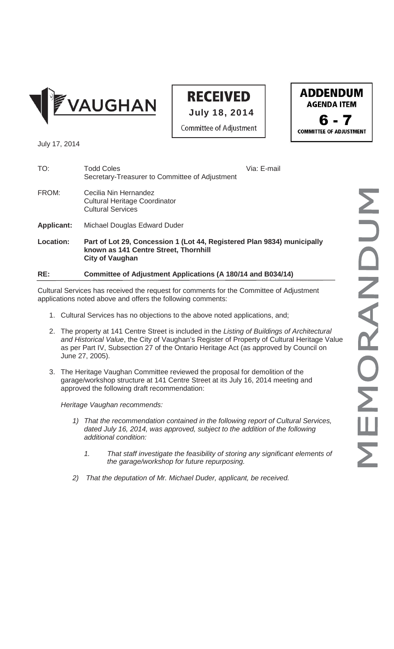

## **RECEIVED**

**Committee of Adjustment** 

July 18, 2014



July 17, 2014

| RE:               | Committee of Adjustment Applications (A 180/14 and B034/14)                                                                                |             |
|-------------------|--------------------------------------------------------------------------------------------------------------------------------------------|-------------|
| Location:         | Part of Lot 29, Concession 1 (Lot 44, Registered Plan 9834) municipally<br>known as 141 Centre Street, Thornhill<br><b>City of Vaughan</b> |             |
| <b>Applicant:</b> | Michael Douglas Edward Duder                                                                                                               |             |
| FROM:             | Cecilia Nin Hernandez<br><b>Cultural Heritage Coordinator</b><br><b>Cultural Services</b>                                                  |             |
| TO:               | <b>Todd Coles</b><br>Secretary-Treasurer to Committee of Adjustment                                                                        | Via: E-mail |

Cultural Services has received the request for comments for the Committee of Adjustment applications noted above and offers the following comments:

- 1. Cultural Services has no objections to the above noted applications, and;
- 2. The property at 141 Centre Street is included in the *Listing of Buildings of Architectural and Historical Value*, the City of Vaughan's Register of Property of Cultural Heritage Value as per Part IV, Subsection 27 of the Ontario Heritage Act (as approved by Council on June 27, 2005).
- 3. The Heritage Vaughan Committee reviewed the proposal for demolition of the garage/workshop structure at 141 Centre Street at its July 16, 2014 meeting and approved the following draft recommendation:

*Heritage Vaughan recommends:*

- *1) That the recommendation contained in the following report of Cultural Services, dated July 16, 2014, was approved, subject to the addition of the following additional condition:*
	- *1. That staff investigate the feasibility of storing any significant elements of the garage/workshop for future repurposing.*
- *2) That the deputation of Mr. Michael Duder, applicant, be received.*